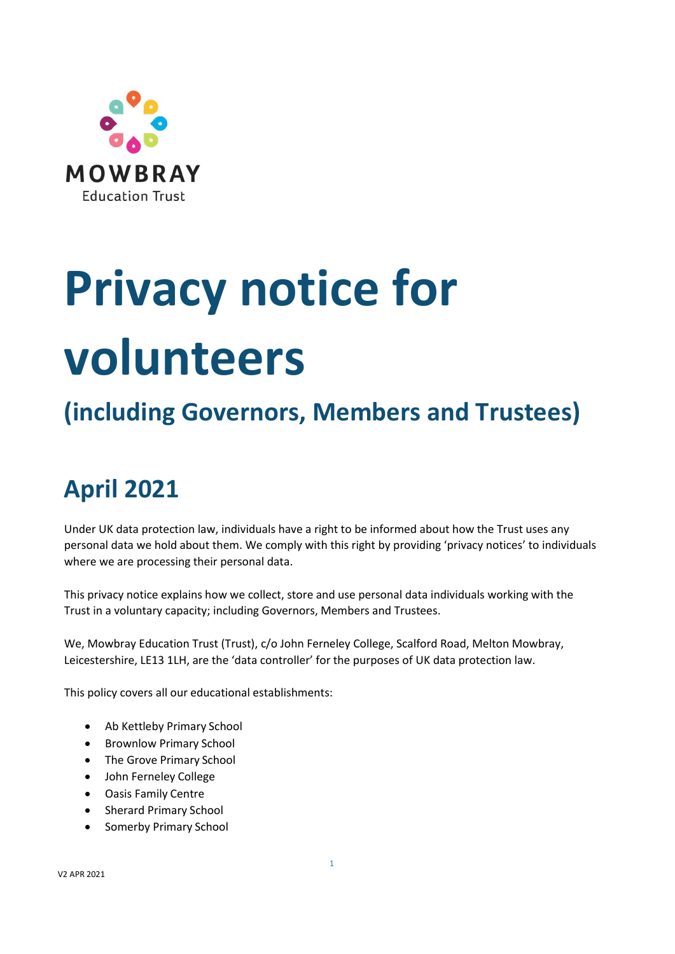

# **Privacy notice for volunteers**

# **(including Governors, Members and Trustees)**

# **April 2021**

Under UK data protection law, individuals have a right to be informed about how the Trust uses any personal data we hold about them. We comply with this right by providing 'privacy notices' to individuals where we are processing their personal data.

This privacy notice explains how we collect, store and use personal data individuals working with the Trust in a voluntary capacity; including Governors, Members and Trustees.

We, Mowbray Education Trust (Trust), c/o John Ferneley College, Scalford Road, Melton Mowbray, Leicestershire, LE13 1LH, are the 'data controller' for the purposes of UK data protection law.

This policy covers all our educational establishments:

- Ab Kettleby Primary School
- Brownlow Primary School
- The Grove Primary School
- John Ferneley College
- Oasis Family Centre
- Sherard Primary School
- Somerby Primary School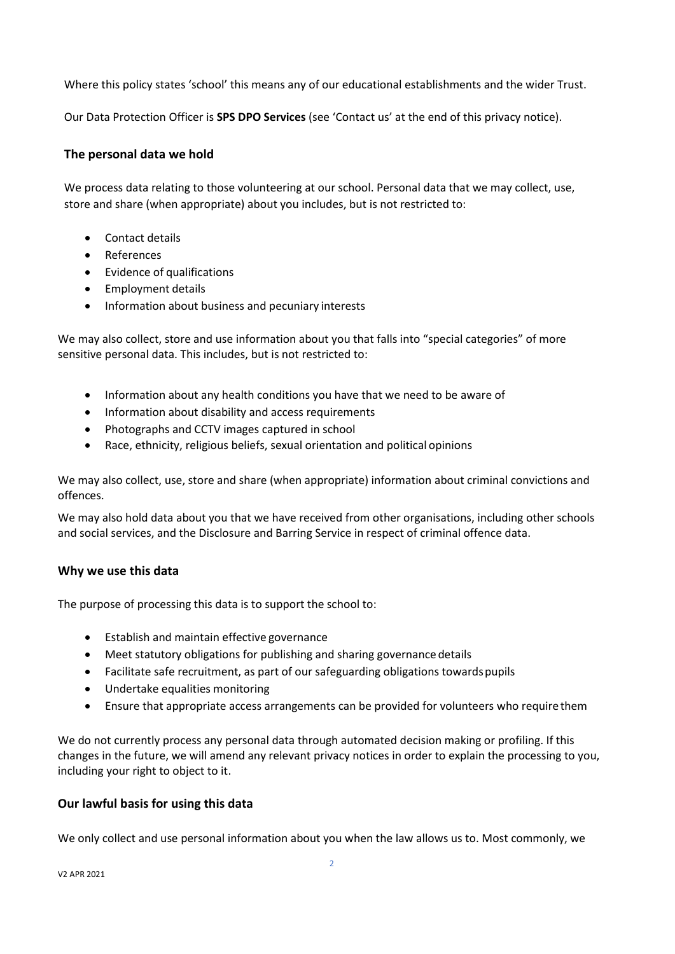Where this policy states 'school' this means any of our educational establishments and the wider Trust.

Our Data Protection Officer is **SPS DPO Services** (see 'Contact us' at the end of this privacy notice).

#### **The personal data we hold**

We process data relating to those volunteering at our school. Personal data that we may collect, use, store and share (when appropriate) about you includes, but is not restricted to:

- Contact details
- References
- Evidence of qualifications
- Employment details
- Information about business and pecuniary interests

We may also collect, store and use information about you that falls into "special categories" of more sensitive personal data. This includes, but is not restricted to:

- Information about any health conditions you have that we need to be aware of
- Information about disability and access requirements
- Photographs and CCTV images captured in school
- Race, ethnicity, religious beliefs, sexual orientation and political opinions

We may also collect, use, store and share (when appropriate) information about criminal convictions and offences.

We may also hold data about you that we have received from other organisations, including other schools and social services, and the Disclosure and Barring Service in respect of criminal offence data.

#### **Why we use this data**

The purpose of processing this data is to support the school to:

- Establish and maintain effective governance
- Meet statutory obligations for publishing and sharing governance details
- Facilitate safe recruitment, as part of our safeguarding obligations towardspupils
- Undertake equalities monitoring
- Ensure that appropriate access arrangements can be provided for volunteers who require them

We do not currently process any personal data through automated decision making or profiling. If this changes in the future, we will amend any relevant privacy notices in order to explain the processing to you, including your right to object to it.

#### **Our lawful basis for using this data**

We only collect and use personal information about you when the law allows us to. Most commonly, we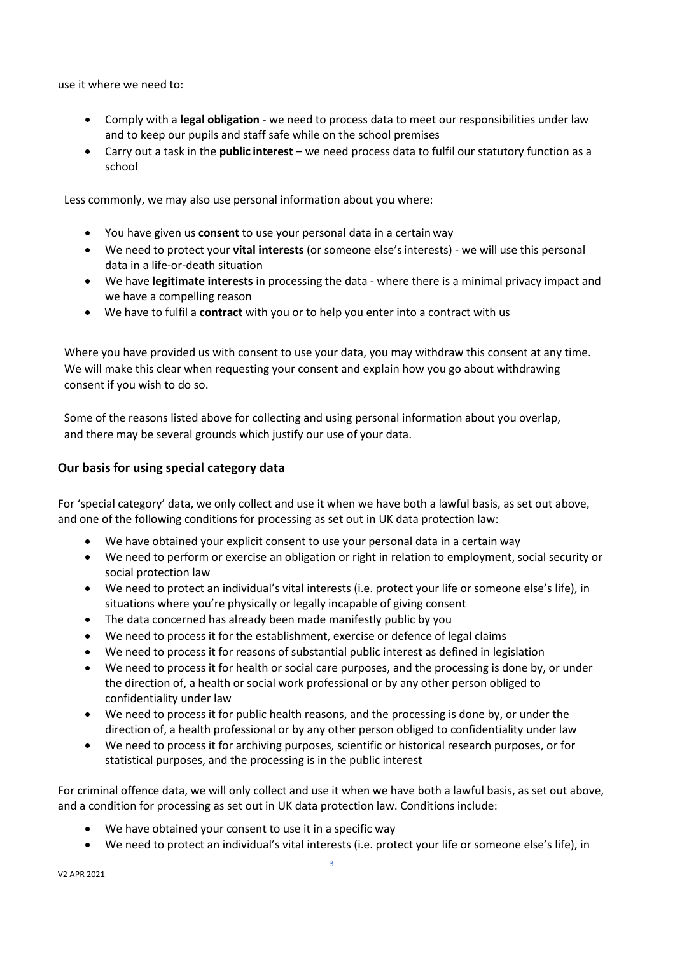use it where we need to:

- Comply with a **legal obligation** we need to process data to meet our responsibilities under law and to keep our pupils and staff safe while on the school premises
- Carry out a task in the **public interest** we need process data to fulfil our statutory function as a school

Less commonly, we may also use personal information about you where:

- You have given us **consent** to use your personal data in a certain way
- We need to protect your **vital interests** (or someone else'sinterests) we will use this personal data in a life-or-death situation
- We have **legitimate interests** in processing the data where there is a minimal privacy impact and we have a compelling reason
- We have to fulfil a **contract** with you or to help you enter into a contract with us

Where you have provided us with consent to use your data, you may withdraw this consent at any time. We will make this clear when requesting your consent and explain how you go about withdrawing consent if you wish to do so.

Some of the reasons listed above for collecting and using personal information about you overlap, and there may be several grounds which justify our use of your data.

#### **Our basis for using special category data**

For 'special category' data, we only collect and use it when we have both a lawful basis, as set out above, and one of the following conditions for processing as set out in UK data protection law:

- We have obtained your explicit consent to use your personal data in a certain way
- We need to perform or exercise an obligation or right in relation to employment, social security or social protection law
- We need to protect an individual's vital interests (i.e. protect your life or someone else's life), in situations where you're physically or legally incapable of giving consent
- The data concerned has already been made manifestly public by you
- We need to process it for the establishment, exercise or defence of legal claims
- We need to process it for reasons of substantial public interest as defined in legislation
- We need to process it for health or social care purposes, and the processing is done by, or under the direction of, a health or social work professional or by any other person obliged to confidentiality under law
- We need to process it for public health reasons, and the processing is done by, or under the direction of, a health professional or by any other person obliged to confidentiality under law
- We need to process it for archiving purposes, scientific or historical research purposes, or for statistical purposes, and the processing is in the public interest

For criminal offence data, we will only collect and use it when we have both a lawful basis, as set out above, and a condition for processing as set out in UK data protection law. Conditions include:

- We have obtained your consent to use it in a specific way
- We need to protect an individual's vital interests (i.e. protect your life or someone else's life), in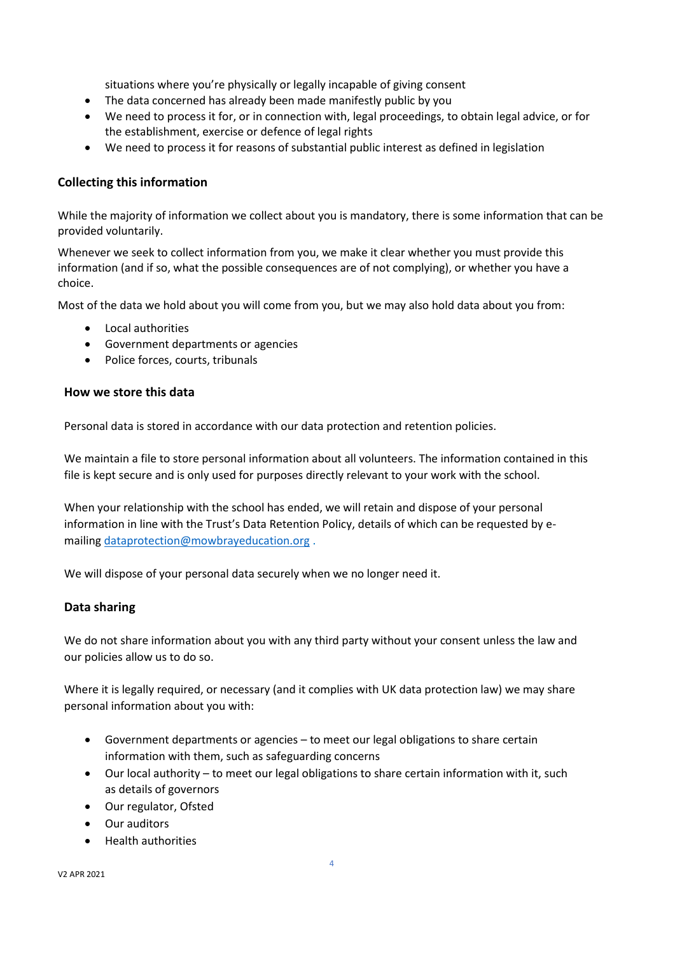situations where you're physically or legally incapable of giving consent

- The data concerned has already been made manifestly public by you
- We need to process it for, or in connection with, legal proceedings, to obtain legal advice, or for the establishment, exercise or defence of legal rights
- We need to process it for reasons of substantial public interest as defined in legislation

## **Collecting this information**

While the majority of information we collect about you is mandatory, there is some information that can be provided voluntarily.

Whenever we seek to collect information from you, we make it clear whether you must provide this information (and if so, what the possible consequences are of not complying), or whether you have a choice.

Most of the data we hold about you will come from you, but we may also hold data about you from:

- Local authorities
- Government departments or agencies
- Police forces, courts, tribunals

#### **How we store this data**

Personal data is stored in accordance with our data protection and retention policies.

We maintain a file to store personal information about all volunteers. The information contained in this file is kept secure and is only used for purposes directly relevant to your work with the school.

When your relationship with the school has ended, we will retain and dispose of your personal information in line with the Trust's Data Retention Policy, details of which can be requested by emailing [dataprotection@mowbrayeducation.org](mailto:dataprotection@mowbrayeducation.org) .

We will dispose of your personal data securely when we no longer need it.

#### **Data sharing**

We do not share information about you with any third party without your consent unless the law and our policies allow us to do so.

Where it is legally required, or necessary (and it complies with UK data protection law) we may share personal information about you with:

- Government departments or agencies to meet our legal obligations to share certain information with them, such as safeguarding concerns
- Our local authority to meet our legal obligations to share certain information with it, such as details of governors
- Our regulator, Ofsted
- Our auditors
- Health authorities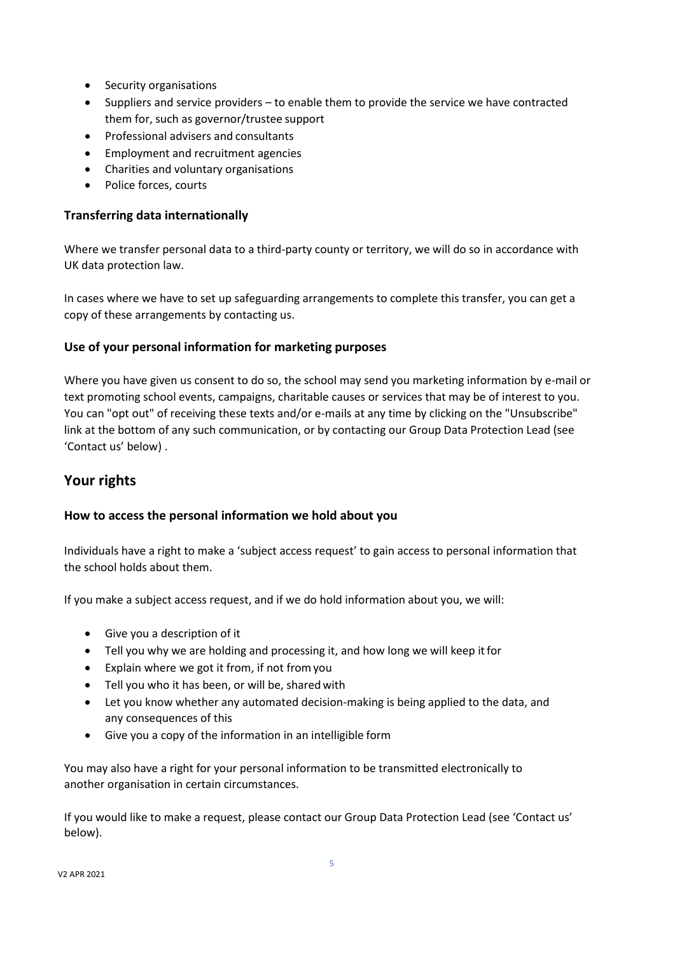- Security organisations
- Suppliers and service providers to enable them to provide the service we have contracted them for, such as governor/trustee support
- Professional advisers and consultants
- Employment and recruitment agencies
- Charities and voluntary organisations
- Police forces, courts

#### **Transferring data internationally**

Where we transfer personal data to a third-party county or territory, we will do so in accordance with UK data protection law.

In cases where we have to set up safeguarding arrangements to complete this transfer, you can get a copy of these arrangements by contacting us.

### **Use of your personal information for marketing purposes**

Where you have given us consent to do so, the school may send you marketing information by e-mail or text promoting school events, campaigns, charitable causes or services that may be of interest to you. You can "opt out" of receiving these texts and/or e-mails at any time by clicking on the "Unsubscribe" link at the bottom of any such communication, or by contacting our Group Data Protection Lead (see 'Contact us' below) .

# **Your rights**

#### **How to access the personal information we hold about you**

Individuals have a right to make a 'subject access request' to gain access to personal information that the school holds about them.

If you make a subject access request, and if we do hold information about you, we will:

- Give you a description of it
- Tell you why we are holding and processing it, and how long we will keep itfor
- Explain where we got it from, if not fromyou
- Tell you who it has been, or will be, sharedwith
- Let you know whether any automated decision-making is being applied to the data, and any consequences of this
- Give you a copy of the information in an intelligible form

You may also have a right for your personal information to be transmitted electronically to another organisation in certain circumstances.

If you would like to make a request, please contact our Group Data Protection Lead (see 'Contact us' below).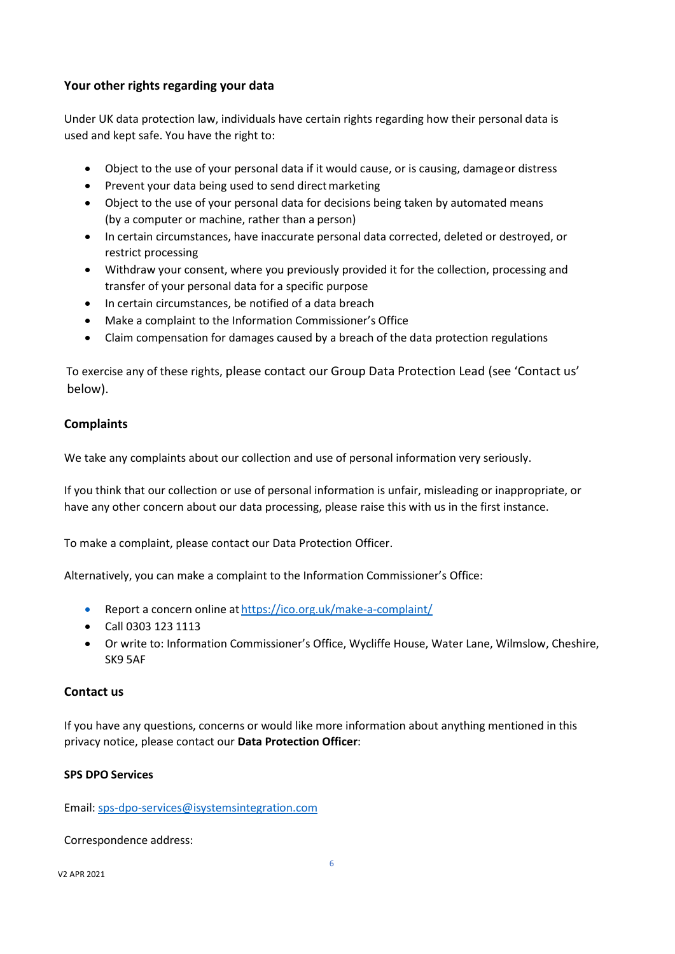### **Your other rights regarding your data**

Under UK data protection law, individuals have certain rights regarding how their personal data is used and kept safe. You have the right to:

- Object to the use of your personal data if it would cause, or is causing, damageor distress
- Prevent your data being used to send direct marketing
- Object to the use of your personal data for decisions being taken by automated means (by a computer or machine, rather than a person)
- In certain circumstances, have inaccurate personal data corrected, deleted or destroyed, or restrict processing
- Withdraw your consent, where you previously provided it for the collection, processing and transfer of your personal data for a specific purpose
- In certain circumstances, be notified of a data breach
- Make a complaint to the Information Commissioner's Office
- Claim compensation for damages caused by a breach of the data protection regulations

 To exercise any of these rights, please contact our Group Data Protection Lead (see 'Contact us' below).

### **Complaints**

We take any complaints about our collection and use of personal information very seriously.

If you think that our collection or use of personal information is unfair, misleading or inappropriate, or have any other concern about our data processing, please raise this with us in the first instance.

To make a complaint, please contact our Data Protection Officer.

Alternatively, you can make a complaint to the Information Commissioner's Office:

- Report a concern online at <https://ico.org.uk/make-a-complaint/>
- Call 0303 123 1113
- Or write to: Information Commissioner's Office, Wycliffe House, Water Lane, Wilmslow, Cheshire, SK9 5AF

#### **Contact us**

If you have any questions, concerns or would like more information about anything mentioned in this privacy notice, please contact our **Data Protection Officer**:

#### **SPS DPO Services**

Email[: sps-dpo-services@isystemsintegration.com](mailto:sps-dpo-services@isystemsintegration.com)

#### Correspondence address: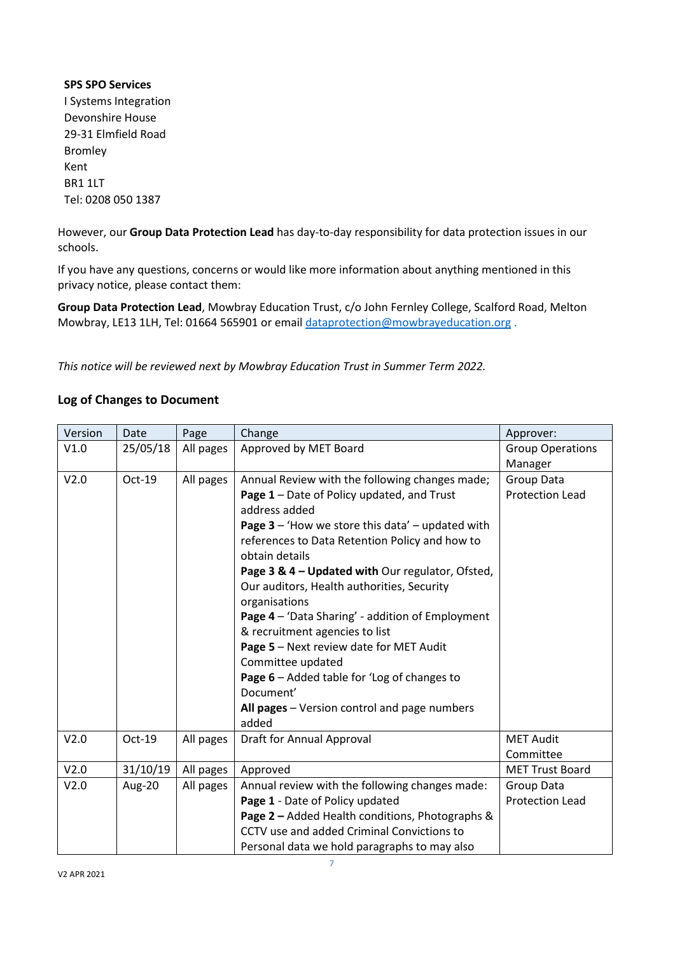## **SPS SPO Services** I Systems Integration Devonshire House 29-31 Elmfield Road Bromley Kent BR1 1LT Tel: 0208 050 1387

However, our **Group Data Protection Lead** has day-to-day responsibility for data protection issues in our schools.

If you have any questions, concerns or would like more information about anything mentioned in this privacy notice, please contact them:

**Group Data Protection Lead**, Mowbray Education Trust, c/o John Fernley College, Scalford Road, Melton Mowbray, LE13 1LH, Tel: 01664 565901 or emai[l dataprotection@mowbrayeducation.org](mailto:dataprotection@mowbrayeducation.org) .

*This notice will be reviewed next by Mowbray Education Trust in Summer Term 2022.*

### **Log of Changes to Document**

| Version | Date     | Page      | Change                                                           | Approver:               |
|---------|----------|-----------|------------------------------------------------------------------|-------------------------|
| V1.0    | 25/05/18 | All pages | Approved by MET Board                                            | <b>Group Operations</b> |
|         |          |           |                                                                  | Manager                 |
| V2.0    | Oct-19   | All pages | Annual Review with the following changes made;                   | <b>Group Data</b>       |
|         |          |           | Page 1 - Date of Policy updated, and Trust<br>address added      | <b>Protection Lead</b>  |
|         |          |           | Page $3 -$ 'How we store this data' $-$ updated with             |                         |
|         |          |           | references to Data Retention Policy and how to<br>obtain details |                         |
|         |          |           | Page 3 & 4 - Updated with Our regulator, Ofsted,                 |                         |
|         |          |           | Our auditors, Health authorities, Security<br>organisations      |                         |
|         |          |           | Page 4 - 'Data Sharing' - addition of Employment                 |                         |
|         |          |           | & recruitment agencies to list                                   |                         |
|         |          |           | Page 5 - Next review date for MET Audit                          |                         |
|         |          |           | Committee updated                                                |                         |
|         |          |           | Page 6 - Added table for 'Log of changes to                      |                         |
|         |          |           | Document'                                                        |                         |
|         |          |           | All pages - Version control and page numbers                     |                         |
|         |          |           | added                                                            |                         |
| V2.0    | Oct-19   | All pages | Draft for Annual Approval                                        | <b>MET Audit</b>        |
|         |          |           |                                                                  | Committee               |
| V2.0    | 31/10/19 | All pages | Approved                                                         | <b>MET Trust Board</b>  |
| V2.0    | Aug-20   | All pages | Annual review with the following changes made:                   | Group Data              |
|         |          |           | Page 1 - Date of Policy updated                                  | <b>Protection Lead</b>  |
|         |          |           | Page 2 - Added Health conditions, Photographs &                  |                         |
|         |          |           | CCTV use and added Criminal Convictions to                       |                         |
|         |          |           | Personal data we hold paragraphs to may also                     |                         |